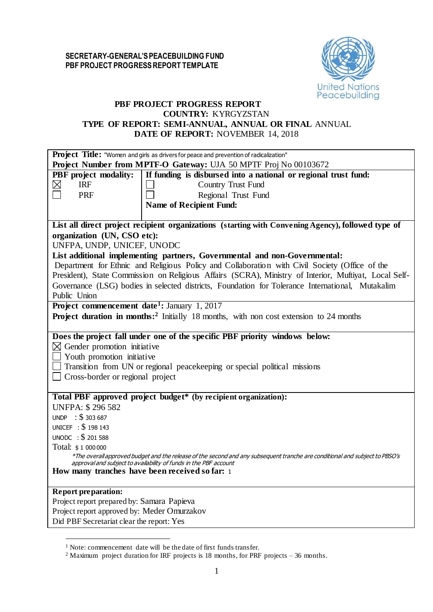

# **PBF PROJECT PROGRESS REPORT COUNTRY:** KYRGYZSTAN **TYPE OF REPORT: SEMI-ANNUAL, ANNUAL OR FINAL** ANNUAL **DATE OF REPORT:** NOVEMBER 14, 2018

| Project Title: "Women and girls as drivers for peace and prevention of radicalization"                                      |  |
|-----------------------------------------------------------------------------------------------------------------------------|--|
| Project Number from MPTF-O Gateway: UJA 50 MPTF Proj No 00103672                                                            |  |
| PBF project modality:<br>If funding is disbursed into a national or regional trust fund:                                    |  |
| ⊠<br><b>IRF</b><br>Country Trust Fund                                                                                       |  |
| <b>PRF</b><br>Regional Trust Fund                                                                                           |  |
| <b>Name of Recipient Fund:</b>                                                                                              |  |
|                                                                                                                             |  |
| List all direct project recipient organizations (starting with Convening Agency), followed type of                          |  |
| organization (UN, CSO etc):                                                                                                 |  |
| UNFPA, UNDP, UNICEF, UNODC                                                                                                  |  |
| List additional implementing partners, Governmental and non-Governmental:                                                   |  |
| Department for Ethnic and Religious Policy and Collaboration with Civil Society (Office of the                              |  |
| President), State Commission on Religious Affairs (SCRA), Ministry of Interior, Muftiyat, Local Self-                       |  |
| Governance (LSG) bodies in selected districts, Foundation for Tolerance International, Mutakalim                            |  |
| Public Union                                                                                                                |  |
| Project commencement date <sup>1</sup> : January 1, 2017                                                                    |  |
| <b>Project duration in months:</b> <sup>2</sup> Initially 18 months, with non cost extension to 24 months                   |  |
|                                                                                                                             |  |
| Does the project fall under one of the specific PBF priority windows below:                                                 |  |
| $\boxtimes$ Gender promotion initiative                                                                                     |  |
| $\Box$ Youth promotion initiative                                                                                           |  |
| $\Box$ Transition from UN or regional peace keeping or special political missions                                           |  |
| $\Box$ Cross-border or regional project                                                                                     |  |
|                                                                                                                             |  |
| Total PBF approved project budget* (by recipient organization):                                                             |  |
| <b>UNFPA: \$296582</b>                                                                                                      |  |
| UNDP : $$303687$                                                                                                            |  |
| UNICEF : \$198 143                                                                                                          |  |
| UNODC : \$ 201 588                                                                                                          |  |
| Total: \$1 000 000                                                                                                          |  |
| *The overall approved budget and the release of the second and any subsequent tranche are conditional and subject to PBSO's |  |
| approval and subject to availability of funds in the PBF account                                                            |  |
| How many tranches have been received so far: 1                                                                              |  |
|                                                                                                                             |  |
| <b>Report preparation:</b>                                                                                                  |  |
| Project report prepared by: Samara Papieva                                                                                  |  |
| Project report approved by: Meder Omurzakov                                                                                 |  |
| Did PBF Secretariat clear the report: Yes                                                                                   |  |

 $\overline{a}$ 

<sup>1</sup> Note: commencement date will be the date of first funds transfer.

<sup>2</sup> Maximum project duration for IRF projects is 18 months, for PRF projects – 36 months.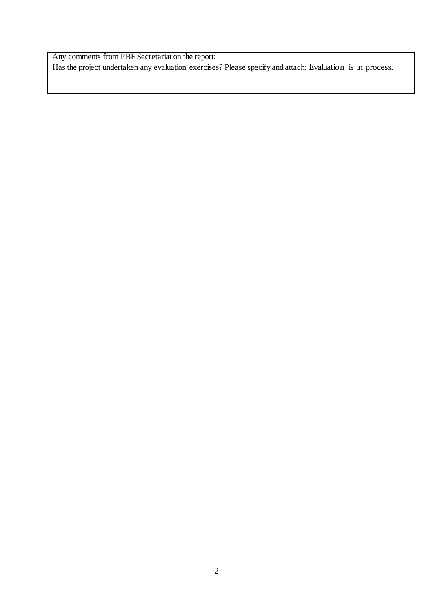Any comments from PBF Secretariat on the report: Has the project undertaken any evaluation exercises? Please specify and attach: Evaluation is in process.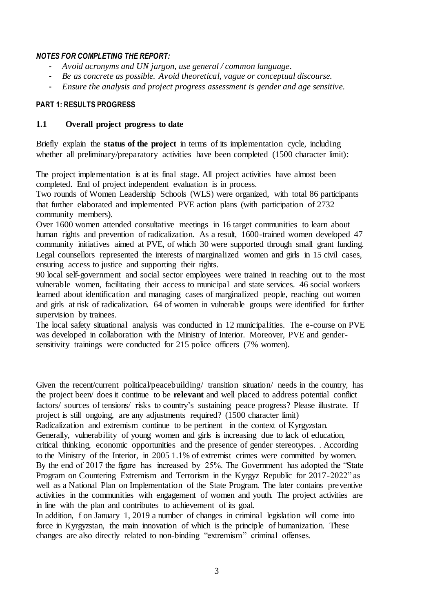# *NOTES FOR COMPLETING THE REPORT:*

- *Avoid acronyms and UN jargon, use general / common language.*
- *Be as concrete as possible. Avoid theoretical, vague or conceptual discourse.*
- *Ensure the analysis and project progress assessment is gender and age sensitive.*

# **PART 1: RESULTS PROGRESS**

# **1.1 Overall project progress to date**

Briefly explain the **status of the project** in terms of its implementation cycle, including whether all preliminary/preparatory activities have been completed (1500 character limit):

The project implementation is at its final stage. All project activities have almost been completed. End of project independent evaluation is in process.

Two rounds of Women Leadership Schools (WLS) were organized, with total 86 participants that further elaborated and implemented PVE action plans (with participation of 2732 community members).

Over 1600 women attended consultative meetings in 16 target communities to learn about human rights and prevention of radicalization. As a result, 1600-trained women developed 47 community initiatives aimed at PVE, of which 30 were supported through small grant funding. Legal counsellors represented the interests of marginalized women and girls in 15 civil cases, ensuring access to justice and supporting their rights.

90 local self-government and social sector employees were trained in reaching out to the most vulnerable women, facilitating their access to municipal and state services. 46 social workers learned about identification and managing cases of marginalized people, reaching out women and girls at risk of radicalization. 64 of women in vulnerable groups were identified for further supervision by trainees.

The local safety situational analysis was conducted in 12 municipalities. The e-course on PVE was developed in collaboration with the Ministry of Interior. Moreover, PVE and gendersensitivity trainings were conducted for 215 police officers (7% women).

Given the recent/current political/peacebuilding/ transition situation/ needs in the country, has the project been/ does it continue to be **relevant** and well placed to address potential conflict factors/ sources of tensions/ risks to country's sustaining peace progress? Please illustrate. If project is still ongoing, are any adjustments required? (1500 character limit)

Radicalization and extremism continue to be pertinent in the context of Kyrgyzstan. Generally, vulnerability of young women and girls is increasing due to lack of education, critical thinking, economic opportunities and the presence of gender stereotypes. . According to the Ministry of the Interior, in 2005 1.1% of extremist crimes were committed by women. By the end of 2017 the figure has increased by 25%. The Government has adopted the "State Program on Countering Extremism and Terrorism in the Kyrgyz Republic for 2017-2022" as well as a National Plan on Implementation of the State Program. The later contains preventive activities in the communities with engagement of women and youth. The project activities are in line with the plan and contributes to achievement of its goal.

In addition, f on January 1, 2019 a number of changes in criminal legislation will come into force in Kyrgyzstan, the main innovation of which is the principle of humanization. These changes are also directly related to non-binding "extremism" criminal offenses.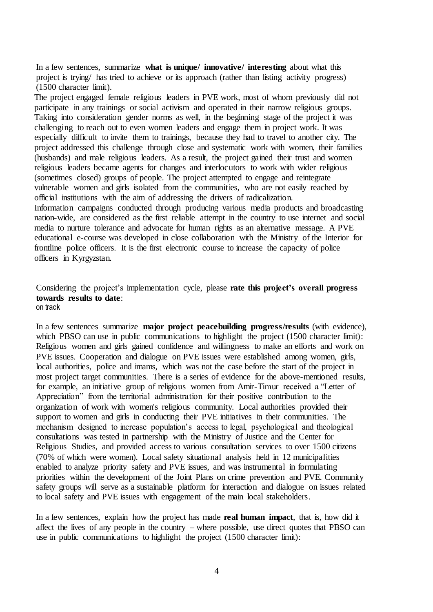In a few sentences, summarize **what is unique/ innovative/ interesting** about what this project is trying/ has tried to achieve or its approach (rather than listing activity progress) (1500 character limit).

The project engaged female religious leaders in PVE work, most of whom previously did not participate in any trainings or social activism and operated in their narrow religious groups. Taking into consideration gender norms as well, in the beginning stage of the project it was challenging to reach out to even women leaders and engage them in project work. It was especially difficult to invite them to trainings, because they had to travel to another city. The project addressed this challenge through close and systematic work with women, their families (husbands) and male religious leaders. As a result, the project gained their trust and women religious leaders became agents for changes and interlocutors to work with wider religious (sometimes closed) groups of people. The project attempted to engage and reintegrate vulnerable women and girls isolated from the communities, who are not easily reached by official institutions with the aim of addressing the drivers of radicalization. Information campaigns conducted through producing various media products and broadcasting nation-wide, are considered as the first reliable attempt in the country to use internet and social media to nurture tolerance and advocate for human rights as an alternative message. A PVE educational e-course was developed in close collaboration with the Ministry of the Interior for frontline police officers. It is the first electronic course to increase the capacity of police officers in Kyrgyzstan.

#### Considering the project's implementation cycle, please **rate this project's overall progress towards results to date**: on track

In a few sentences summarize **major project peacebuilding progress/results** (with evidence), which PBSO can use in public communications to highlight the project (1500 character limit): Religious women and girls gained confidence and willingness to make an efforts and work on PVE issues. Cooperation and dialogue on PVE issues were established among women, girls, local authorities, police and imams, which was not the case before the start of the project in most project target communities. There is a series of evidence for the above-mentioned results, for example, an initiative group of religious women from Amir-Timur received a "Letter of Appreciation" from the territorial administration for their positive contribution to the organization of work with women's religious community. Local authorities provided their support to women and girls in conducting their PVE initiatives in their communities. The mechanism designed to increase population's access to legal, psychological and theological consultations was tested in partnership with the Ministry of Justice and the Center for Religious Studies, and provided access to various consultation services to over 1500 citizens (70% of which were women). Local safety situational analysis held in 12 municipalities enabled to analyze priority safety and PVE issues, and was instrumental in formulating priorities within the development of the Joint Plans on crime prevention and PVE. Community safety groups will serve as a sustainable platform for interaction and dialogue on issues related to local safety and PVE issues with engagement of the main local stakeholders.

In a few sentences, explain how the project has made **real human impact**, that is, how did it affect the lives of any people in the country – where possible, use direct quotes that PBSO can use in public communications to highlight the project (1500 character limit):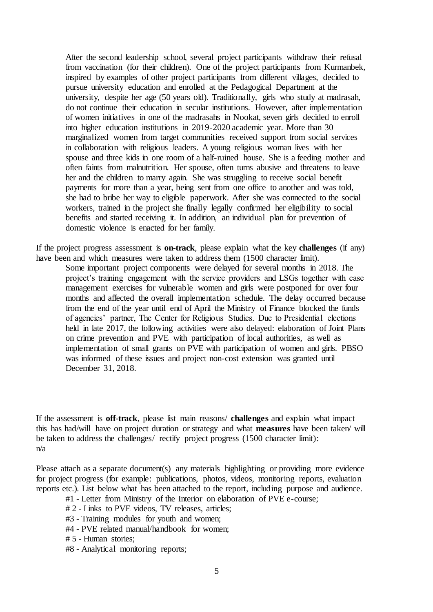After the second leadership school, several project participants withdraw their refusal from vaccination (for their children). One of the project participants from Kurmanbek, inspired by examples of other project participants from different villages, decided to pursue university education and enrolled at the Pedagogical Department at the university, despite her age (50 years old). Traditionally, girls who study at madrasah, do not continue their education in secular institutions. However, after implementation of women initiatives in one of the madrasahs in Nookat, seven girls decided to enroll into higher education institutions in 2019-2020 academic year. More than 30 marginalized women from target communities received support from social services in collaboration with religious leaders. A young religious woman lives with her spouse and three kids in one room of a half-ruined house. She is a feeding mother and often faints from malnutrition. Her spouse, often turns abusive and threatens to leave her and the children to marry again. She was struggling to receive social benefit payments for more than a year, being sent from one office to another and was told, she had to bribe her way to eligible paperwork. After she was connected to the social workers, trained in the project she finally legally confirmed her eligibility to social benefits and started receiving it. In addition, an individual plan for prevention of domestic violence is enacted for her family.

If the project progress assessment is **on-track**, please explain what the key **challenges** (if any) have been and which measures were taken to address them (1500 character limit).

Some important project components were delayed for several months in 2018. The project's training engagement with the service providers and LSGs together with case management exercises for vulnerable women and girls were postponed for over four months and affected the overall implementation schedule. The delay occurred because from the end of the year until end of April the Ministry of Finance blocked the funds of agencies' partner, The Center for Religious Studies. Due to Presidential elections held in late 2017, the following activities were also delayed: elaboration of Joint Plans on crime prevention and PVE with participation of local authorities, as well as implementation of small grants on PVE with participation of women and girls. PBSO was informed of these issues and project non-cost extension was granted until December 31, 2018.

If the assessment is **off-track**, please list main reasons/ **challenges** and explain what impact this has had/will have on project duration or strategy and what **measures** have been taken/ will be taken to address the challenges/ rectify project progress (1500 character limit): n/a

Please attach as a separate document(s) any materials highlighting or providing more evidence for project progress (for example: publications, photos, videos, monitoring reports, evaluation reports etc.). List below what has been attached to the report, including purpose and audience.

#1 - Letter from Ministry of the Interior on elaboration of PVE e-course;

- # 2 Links to PVE videos, TV releases, articles;
- #3 Training modules for youth and women;
- #4 PVE related manual/handbook for women;
- # 5 Human stories;
- #8 Analytical monitoring reports;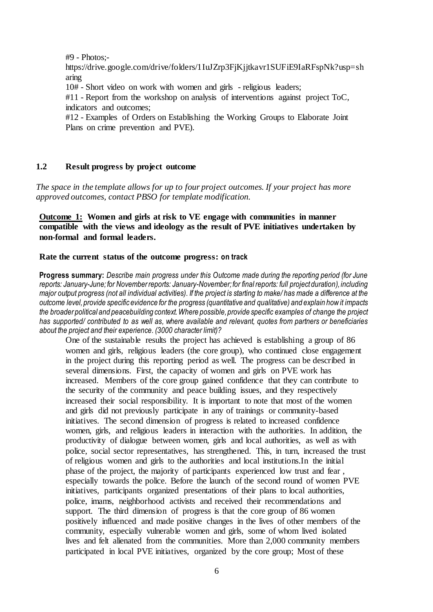#9 - Photos;-

https://drive.google.com/drive/folders/1IuJZrp3FjKjjtkavr1SUFiE9IaRFspNk?usp=sh aring

10# - Short video on work with women and girls - religious leaders;

#11 - Report from the workshop on analysis of interventions against project ToC, indicators and outcomes;

#12 - Examples of Orders on Establishing the Working Groups to Elaborate Joint Plans on crime prevention and PVE).

## **1.2 Result progress by project outcome**

*The space in the template allows for up to four project outcomes. If your project has more approved outcomes, contact PBSO for template modification.*

# **Outcome 1: Women and girls at risk to VE engage with communities in manner compatible with the views and ideology as the result of PVE initiatives undertaken by non-formal and formal leaders.**

#### **Rate the current status of the outcome progress: on track**

**Progress summary:** *Describe main progress under this Outcome made during the reporting period (for June reports: January-June; for November reports: January-November; for final reports: full project duration), including major output progress (not all individual activities). If the project is starting to make/ has made a difference at the outcome level, provide specific evidence for the progress (quantitative and qualitative) and explain how it impacts the broader political and peacebuilding context. Where possible, provide specific examples of change the project has supported/ contributed to as well as, where available and relevant, quotes from partners or beneficiaries about the project and their experience. (3000 character limit)?* 

One of the sustainable results the project has achieved is establishing a group of 86 women and girls, religious leaders (the core group), who continued close engagement in the project during this reporting period as well. The progress can be described in several dimensions. First, the capacity of women and girls on PVE work has increased. Members of the core group gained confidence that they can contribute to the security of the community and peace building issues, and they respectively increased their social responsibility. It is important to note that most of the women and girls did not previously participate in any of trainings or community-based initiatives. The second dimension of progress is related to increased confidence women, girls, and religious leaders in interaction with the authorities. In addition, the productivity of dialogue between women, girls and local authorities, as well as with police, social sector representatives, has strengthened. This, in turn, increased the trust of religious women and girls to the authorities and local institutions.In the initial phase of the project, the majority of participants experienced low trust and fear , especially towards the police. Before the launch of the second round of women PVE initiatives, participants organized presentations of their plans to local authorities, police, imams, neighborhood activists and received their recommendations and support. The third dimension of progress is that the core group of 86 women positively influenced and made positive changes in the lives of other members of the community, especially vulnerable women and girls, some of whom lived isolated lives and felt alienated from the communities. More than 2,000 community members participated in local PVE initiatives, organized by the core group; Most of these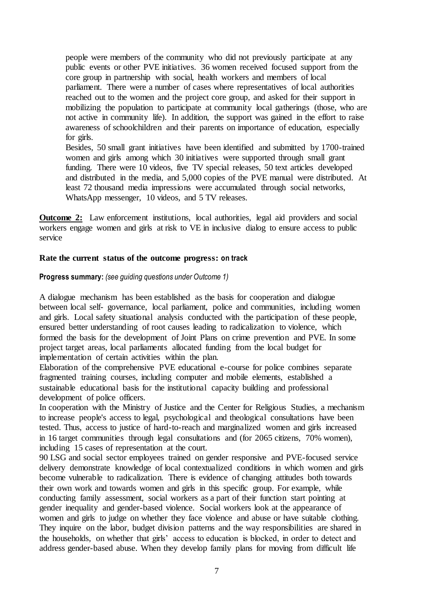people were members of the community who did not previously participate at any public events or other PVE initiatives. 36 women received focused support from the core group in partnership with social, health workers and members of local parliament. There were a number of cases where representatives of local authorities reached out to the women and the project core group, and asked for their support in mobilizing the population to participate at community local gatherings (those, who are not active in community life). In addition, the support was gained in the effort to raise awareness of schoolchildren and their parents on importance of education, especially for girls.

Besides, 50 small grant initiatives have been identified and submitted by 1700-trained women and girls among which 30 initiatives were supported through small grant funding. There were 10 videos, five TV special releases, 50 text articles developed and distributed in the media, and 5,000 copies of the PVE manual were distributed. At least 72 thousand media impressions were accumulated through social networks, WhatsApp messenger, 10 videos, and 5 TV releases.

**Outcome 2:** Law enforcement institutions, local authorities, legal aid providers and social workers engage women and girls at risk to VE in inclusive dialog to ensure access to public service

## **Rate the current status of the outcome progress: on track**

#### **Progress summary:** *(see guiding questions under Outcome 1)*

A dialogue mechanism has been established as the basis for cooperation and dialogue between local self- governance, local parliament, police and communities, including women and girls. Local safety situational analysis conducted with the participation of these people, ensured better understanding of root causes leading to radicalization to violence, which formed the basis for the development of Joint Plans on crime prevention and PVE. In some project target areas, local parliaments allocated funding from the local budget for implementation of certain activities within the plan.

Elaboration of the comprehensive PVE educational e-course for police combines separate fragmented training courses, including computer and mobile elements, established a sustainable educational basis for the institutional capacity building and professional development of police officers.

In cooperation with the Ministry of Justice and the Center for Religious Studies, a mechanism to increase people's access to legal, psychological and theological consultations have been tested. Thus, access to justice of hard-to-reach and marginalized women and girls increased in 16 target communities through legal consultations and (for 2065 citizens, 70% women), including 15 cases of representation at the court.

90 LSG and social sector employees trained on gender responsive and PVE-focused service delivery demonstrate knowledge of local contextualized conditions in which women and girls become vulnerable to radicalization. There is evidence of changing attitudes both towards their own work and towards women and girls in this specific group. For example, while conducting family assessment, social workers as a part of their function start pointing at gender inequality and gender-based violence. Social workers look at the appearance of women and girls to judge on whether they face violence and abuse or have suitable clothing. They inquire on the labor, budget division patterns and the way responsibilities are shared in the households, on whether that girls' access to education is blocked, in order to detect and address gender-based abuse. When they develop family plans for moving from difficult life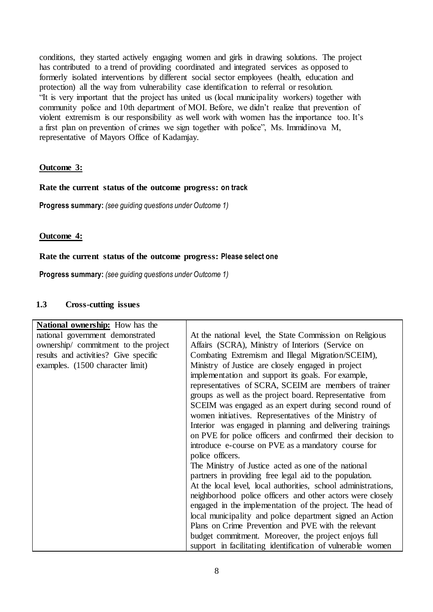conditions, they started actively engaging women and girls in drawing solutions. The project has contributed to a trend of providing coordinated and integrated services as opposed to formerly isolated interventions by different social sector employees (health, education and protection) all the way from vulnerability case identification to referral or resolution. "It is very important that the project has united us (local municipality workers) together with community police and 10th department of MOI. Before, we didn't realize that prevention of violent extremism is our responsibility as well work with women has the importance too. It's a first plan on prevention of crimes we sign together with police", Ms. Immidinova M, representative of Mayors Office of Kadamjay.

# **Outcome 3:**

## **Rate the current status of the outcome progress: on track**

**Progress summary:** *(see guiding questions under Outcome 1)* 

## **Outcome 4:**

#### **Rate the current status of the outcome progress: Please select one**

**Progress summary:** *(see guiding questions under Outcome 1)* 

### **1.3 Cross-cutting issues**

| <b>National ownership:</b> How has the |                                                                |
|----------------------------------------|----------------------------------------------------------------|
| national government demonstrated       | At the national level, the State Commission on Religious       |
| ownership/ commitment to the project   | Affairs (SCRA), Ministry of Interiors (Service on              |
| results and activities? Give specific  | Combating Extremism and Illegal Migration/SCEIM),              |
| examples. (1500 character limit)       | Ministry of Justice are closely engaged in project             |
|                                        | implementation and support its goals. For example,             |
|                                        | representatives of SCRA, SCEIM are members of trainer          |
|                                        | groups as well as the project board. Representative from       |
|                                        | SCEIM was engaged as an expert during second round of          |
|                                        | women initiatives. Representatives of the Ministry of          |
|                                        | Interior was engaged in planning and delivering trainings      |
|                                        | on PVE for police officers and confirmed their decision to     |
|                                        | introduce e-course on PVE as a mandatory course for            |
|                                        | police officers.                                               |
|                                        | The Ministry of Justice acted as one of the national           |
|                                        | partners in providing free legal aid to the population.        |
|                                        | At the local level, local authorities, school administrations, |
|                                        | neighborhood police officers and other actors were closely     |
|                                        | engaged in the implementation of the project. The head of      |
|                                        | local municipality and police department signed an Action      |
|                                        | Plans on Crime Prevention and PVE with the relevant            |
|                                        | budget commitment. Moreover, the project enjoys full           |
|                                        | support in facilitating identification of vulnerable women     |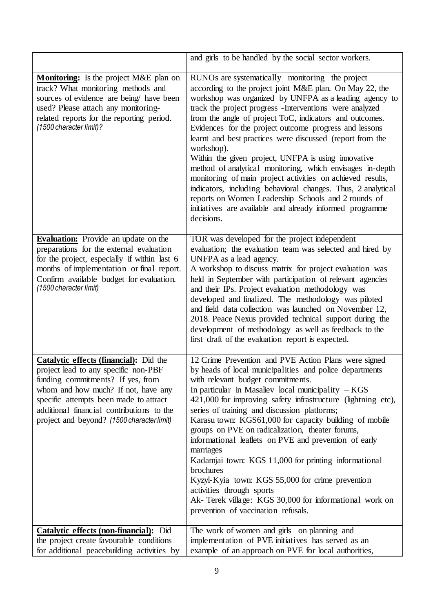|                                                                                                                                                                                                                                                                                                 | and girls to be handled by the social sector workers.                                                                                                                                                                                                                                                                                                                                                                                                                                                                                                                                                                                                                                                                                                                                                              |
|-------------------------------------------------------------------------------------------------------------------------------------------------------------------------------------------------------------------------------------------------------------------------------------------------|--------------------------------------------------------------------------------------------------------------------------------------------------------------------------------------------------------------------------------------------------------------------------------------------------------------------------------------------------------------------------------------------------------------------------------------------------------------------------------------------------------------------------------------------------------------------------------------------------------------------------------------------------------------------------------------------------------------------------------------------------------------------------------------------------------------------|
| <b>Monitoring:</b> Is the project M&E plan on<br>track? What monitoring methods and<br>sources of evidence are being/ have been<br>used? Please attach any monitoring-<br>related reports for the reporting period.<br>(1500 character limit)?                                                  | RUNOs are systematically monitoring the project<br>according to the project joint M&E plan. On May 22, the<br>workshop was organized by UNFPA as a leading agency to<br>track the project progress -Interventions were analyzed<br>from the angle of project ToC, indicators and outcomes.<br>Evidences for the project outcome progress and lessons<br>learnt and best practices were discussed (report from the<br>workshop).<br>Within the given project, UNFPA is using innovative<br>method of analytical monitoring, which envisages in-depth<br>monitoring of main project activities on achieved results,<br>indicators, including behavioral changes. Thus, 2 analytical<br>reports on Women Leadership Schools and 2 rounds of<br>initiatives are available and already informed programme<br>decisions. |
| <b>Evaluation:</b> Provide an update on the<br>preparations for the external evaluation<br>for the project, especially if within last 6<br>months of implementation or final report.<br>Confirm available budget for evaluation.<br>(1500 character limit)                                      | TOR was developed for the project independent<br>evaluation; the evaluation team was selected and hired by<br>UNFPA as a lead agency.<br>A workshop to discuss matrix for project evaluation was<br>held in September with participation of relevant agencies<br>and their IPs. Project evaluation methodology was<br>developed and finalized. The methodology was piloted<br>and field data collection was launched on November 12,<br>2018. Peace Nexus provided technical support during the<br>development of methodology as well as feedback to the<br>first draft of the evaluation report is expected.                                                                                                                                                                                                      |
| Catalytic effects (financial): Did the<br>project lead to any specific non-PBF<br>funding commitments? If yes, from<br>whom and how much? If not, have any<br>specific attempts been made to attract<br>additional financial contributions to the<br>project and beyond? (1500 character limit) | 12 Crime Prevention and PVE Action Plans were signed<br>by heads of local municipalities and police departments<br>with relevant budget commitments.<br>In particular in Masaliev local municipality $-KGS$<br>421,000 for improving safety infrastructure (lightning etc),<br>series of training and discussion platforms;<br>Karasu town: KGS61,000 for capacity building of mobile<br>groups on PVE on radicalization, theater forums,<br>informational leaflets on PVE and prevention of early<br>marriages<br>Kadamjai town: KGS 11,000 for printing informational<br>brochures<br>Kyzyl-Kyia town: KGS 55,000 for crime prevention<br>activities through sports<br>Ak- Terek village: KGS 30,000 for informational work on<br>prevention of vaccination refusals.                                            |
| <b>Catalytic effects (non-financial):</b> Did<br>the project create favourable conditions<br>for additional peacebuilding activities by                                                                                                                                                         | The work of women and girls on planning and<br>implementation of PVE initiatives has served as an<br>example of an approach on PVE for local authorities,                                                                                                                                                                                                                                                                                                                                                                                                                                                                                                                                                                                                                                                          |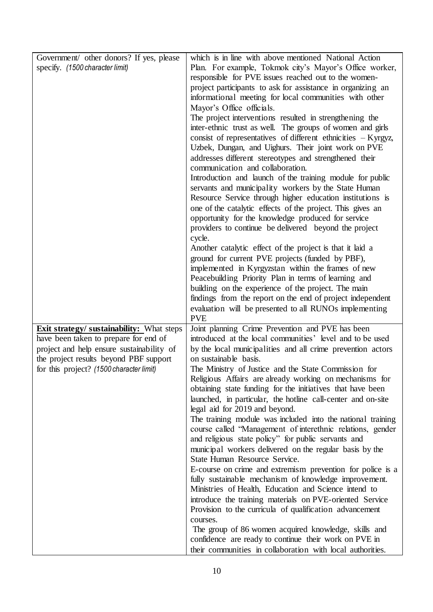| Government/ other donors? If yes, please<br>specify. (1500 character limit)                                                                                                                                                  | which is in line with above mentioned National Action<br>Plan. For example, Tokmok city's Mayor's Office worker,<br>responsible for PVE issues reached out to the women-<br>project participants to ask for assistance in organizing an<br>informational meeting for local communities with other<br>Mayor's Office officials.<br>The project interventions resulted in strengthening the<br>inter-ethnic trust as well. The groups of women and girls<br>consist of representatives of different ethnicities $-Kyrgyz$ ,<br>Uzbek, Dungan, and Uighurs. Their joint work on PVE<br>addresses different stereotypes and strengthened their<br>communication and collaboration.<br>Introduction and launch of the training module for public<br>servants and municipality workers by the State Human<br>Resource Service through higher education institutions is<br>one of the catalytic effects of the project. This gives an<br>opportunity for the knowledge produced for service<br>providers to continue be delivered beyond the project<br>cycle.<br>Another catalytic effect of the project is that it laid a<br>ground for current PVE projects (funded by PBF),<br>implemented in Kyrgyzstan within the frames of new<br>Peacebuilding Priority Plan in terms of learning and<br>building on the experience of the project. The main |
|------------------------------------------------------------------------------------------------------------------------------------------------------------------------------------------------------------------------------|-----------------------------------------------------------------------------------------------------------------------------------------------------------------------------------------------------------------------------------------------------------------------------------------------------------------------------------------------------------------------------------------------------------------------------------------------------------------------------------------------------------------------------------------------------------------------------------------------------------------------------------------------------------------------------------------------------------------------------------------------------------------------------------------------------------------------------------------------------------------------------------------------------------------------------------------------------------------------------------------------------------------------------------------------------------------------------------------------------------------------------------------------------------------------------------------------------------------------------------------------------------------------------------------------------------------------------------------------|
| <b>Exit strategy/ sustainability:</b> What steps<br>have been taken to prepare for end of<br>project and help ensure sustainability of<br>the project results beyond PBF support<br>for this project? (1500 character limit) | findings from the report on the end of project independent<br>evaluation will be presented to all RUNOs implementing<br><b>PVE</b><br>Joint planning Crime Prevention and PVE has been<br>introduced at the local communities' level and to be used<br>by the local municipalities and all crime prevention actors<br>on sustainable basis.<br>The Ministry of Justice and the State Commission for<br>Religious Affairs are already working on mechanisms for<br>obtaining state funding for the initiatives that have been<br>launched, in particular, the hotline call-center and on-site<br>legal aid for 2019 and beyond.<br>The training module was included into the national training<br>course called "Management of interethnic relations, gender<br>and religious state policy" for public servants and<br>municipal workers delivered on the regular basis by the<br>State Human Resource Service.<br>E-course on crime and extremism prevention for police is a<br>fully sustainable mechanism of knowledge improvement.                                                                                                                                                                                                                                                                                                         |
|                                                                                                                                                                                                                              | Ministries of Health, Education and Science intend to<br>introduce the training materials on PVE-oriented Service<br>Provision to the curricula of qualification advancement<br>courses.<br>The group of 86 women acquired knowledge, skills and<br>confidence are ready to continue their work on PVE in<br>their communities in collaboration with local authorities.                                                                                                                                                                                                                                                                                                                                                                                                                                                                                                                                                                                                                                                                                                                                                                                                                                                                                                                                                                       |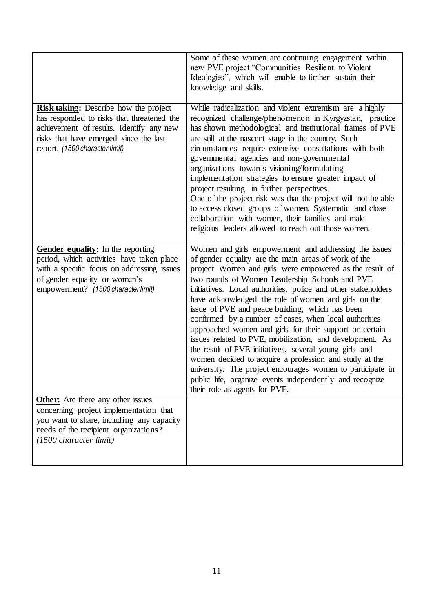|                                                                                                                                                                                                                                                                                                                                                                                                            | Some of these women are continuing engagement within<br>new PVE project "Communities Resilient to Violent<br>Ideologies", which will enable to further sustain their<br>knowledge and skills.                                                                                                                                                                                                                                                                                                                                                                                                                                                                                                                                                                                                                                                                           |
|------------------------------------------------------------------------------------------------------------------------------------------------------------------------------------------------------------------------------------------------------------------------------------------------------------------------------------------------------------------------------------------------------------|-------------------------------------------------------------------------------------------------------------------------------------------------------------------------------------------------------------------------------------------------------------------------------------------------------------------------------------------------------------------------------------------------------------------------------------------------------------------------------------------------------------------------------------------------------------------------------------------------------------------------------------------------------------------------------------------------------------------------------------------------------------------------------------------------------------------------------------------------------------------------|
| <b>Risk taking:</b> Describe how the project<br>has responded to risks that threatened the<br>achievement of results. Identify any new<br>risks that have emerged since the last<br>report. (1500 character limit)                                                                                                                                                                                         | While radicalization and violent extremism are a highly<br>recognized challenge/phenomenon in Kyrgyzstan, practice<br>has shown methodological and institutional frames of PVE<br>are still at the nascent stage in the country. Such<br>circumstances require extensive consultations with both<br>governmental agencies and non-governmental<br>organizations towards visioning/formulating<br>implementation strategies to ensure greater impact of<br>project resulting in further perspectives.<br>One of the project risk was that the project will not be able<br>to access closed groups of women. Systematic and close<br>collaboration with women, their families and male<br>religious leaders allowed to reach out those women.                                                                                                                             |
| Gender equality: In the reporting<br>period, which activities have taken place<br>with a specific focus on addressing issues<br>of gender equality or women's<br>empowerment? (1500 character limit)<br><b>Other:</b> Are there any other issues<br>concerning project implementation that<br>you want to share, including any capacity<br>needs of the recipient organizations?<br>(1500 character limit) | Women and girls empowerment and addressing the issues<br>of gender equality are the main areas of work of the<br>project. Women and girls were empowered as the result of<br>two rounds of Women Leadership Schools and PVE<br>initiatives. Local authorities, police and other stakeholders<br>have acknowledged the role of women and girls on the<br>issue of PVE and peace building, which has been<br>confirmed by a number of cases, when local authorities<br>approached women and girls for their support on certain<br>issues related to PVE, mobilization, and development. As<br>the result of PVE initiatives, several young girls and<br>women decided to acquire a profession and study at the<br>university. The project encourages women to participate in<br>public life, organize events independently and recognize<br>their role as agents for PVE. |
|                                                                                                                                                                                                                                                                                                                                                                                                            |                                                                                                                                                                                                                                                                                                                                                                                                                                                                                                                                                                                                                                                                                                                                                                                                                                                                         |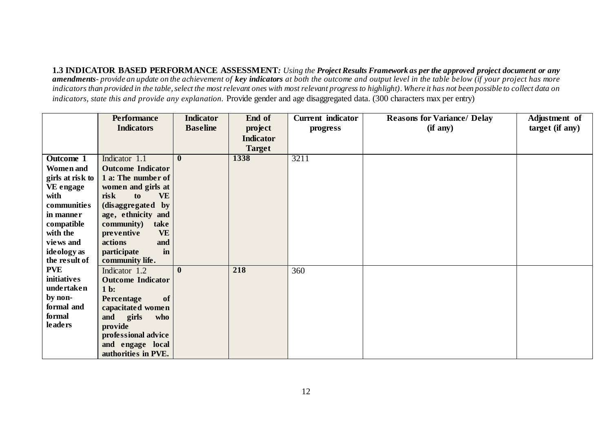**1.3 INDICATOR BASED PERFORMANCE ASSESSMENT***: Using the Project Results Framework as per the approved project document or any amendments- provide an update on the achievement of key indicators at both the outcome and output level in the table below (if your project has more indicators than provided in the table, select the most relevant ones with most relevant progress to highlight). Where it has not been possible to collect data on indicators, state this and provide any explanation.* Provide gender and age disaggregated data. (300 characters max per entry)

|                  | <b>Performance</b>       | <b>Indicator</b> | End of           | <b>Current</b> indicator | <b>Reasons for Variance/ Delay</b> | Adjustment of   |
|------------------|--------------------------|------------------|------------------|--------------------------|------------------------------------|-----------------|
|                  | <b>Indicators</b>        | <b>Baseline</b>  | project          | progress                 | (if any)                           | target (if any) |
|                  |                          |                  | <b>Indicator</b> |                          |                                    |                 |
|                  |                          |                  | <b>Target</b>    |                          |                                    |                 |
| Outcome 1        | Indicator 1.1            | $\bf{0}$         | 1338             | 3211                     |                                    |                 |
| <b>Women</b> and | <b>Outcome Indicator</b> |                  |                  |                          |                                    |                 |
| girls at risk to | 1 a: The number of       |                  |                  |                          |                                    |                 |
| VE engage        | women and girls at       |                  |                  |                          |                                    |                 |
| with             | <b>VE</b><br>risk<br>to  |                  |                  |                          |                                    |                 |
| communities      | (disaggregated by        |                  |                  |                          |                                    |                 |
| in manner        | age, ethnicity and       |                  |                  |                          |                                    |                 |
| compatible       | community)<br>take       |                  |                  |                          |                                    |                 |
| with the         | <b>VE</b><br>preventive  |                  |                  |                          |                                    |                 |
| views and        | actions<br>and           |                  |                  |                          |                                    |                 |
| ideology as      | participate<br>in        |                  |                  |                          |                                    |                 |
| the result of    | community life.          |                  |                  |                          |                                    |                 |
| <b>PVE</b>       | Indicator 1.2            | $\mathbf{0}$     | 218              | 360                      |                                    |                 |
| initiatives      | <b>Outcome Indicator</b> |                  |                  |                          |                                    |                 |
| undertaken       | $1b$ :                   |                  |                  |                          |                                    |                 |
| by non-          | of<br>Percentage         |                  |                  |                          |                                    |                 |
| formal and       | capacitated women        |                  |                  |                          |                                    |                 |
| formal           | and<br>girls<br>who      |                  |                  |                          |                                    |                 |
| <b>leaders</b>   | provide                  |                  |                  |                          |                                    |                 |
|                  | professional advice      |                  |                  |                          |                                    |                 |
|                  | and engage local         |                  |                  |                          |                                    |                 |
|                  | authorities in PVE.      |                  |                  |                          |                                    |                 |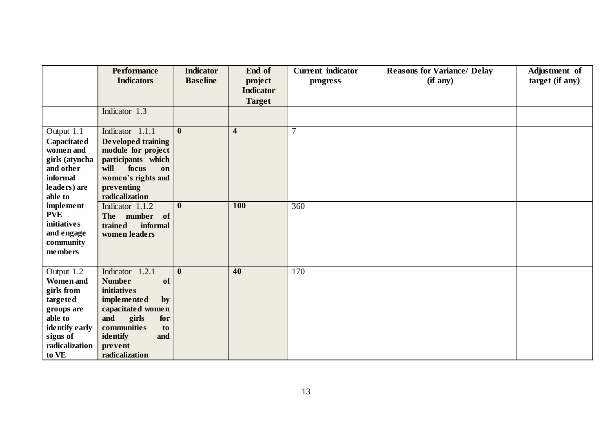|                                                                                                                                            | <b>Performance</b><br><b>Indicators</b>                                                                                                                                                                   | <b>Indicator</b><br><b>Baseline</b> | End of<br>project                 | <b>Current</b> indicator<br>progress | <b>Reasons for Variance/ Delay</b><br>(if any) | Adjustment of<br>target (if any) |
|--------------------------------------------------------------------------------------------------------------------------------------------|-----------------------------------------------------------------------------------------------------------------------------------------------------------------------------------------------------------|-------------------------------------|-----------------------------------|--------------------------------------|------------------------------------------------|----------------------------------|
|                                                                                                                                            |                                                                                                                                                                                                           |                                     | <b>Indicator</b><br><b>Target</b> |                                      |                                                |                                  |
|                                                                                                                                            | Indicator 1.3                                                                                                                                                                                             |                                     |                                   |                                      |                                                |                                  |
| Output 1.1<br>Capacitated<br>women and<br>girls (atyncha<br>and other<br>informal<br>leaders) are<br>able to                               | Indicator 1.1.1<br><b>Developed training</b><br>module for project<br>participants which<br>will<br>focus<br>on<br>women's rights and<br>preventing<br>radicalization                                     | $\mathbf{0}$                        | $\overline{\mathbf{4}}$           | $\overline{7}$                       |                                                |                                  |
| <i>implement</i><br><b>PVE</b><br><b>initiatives</b><br>and engage<br>community<br>members                                                 | Indicator 1.1.2<br>The number of<br>trained<br>informal<br>women leaders                                                                                                                                  | $\mathbf{0}$                        | <b>100</b>                        | 360                                  |                                                |                                  |
| Output 1.2<br><b>Women</b> and<br>girls from<br>targeted<br>groups are<br>able to<br>identify early<br>signs of<br>radicalization<br>to VE | Indicator 1.2.1<br><b>Number</b><br>of<br><b>initiatives</b><br><i>implemented</i><br>by<br>capacitated women<br>and<br>girls<br>for<br>communities<br>to<br>identify<br>and<br>prevent<br>radicalization | $\boldsymbol{0}$                    | 40                                | 170                                  |                                                |                                  |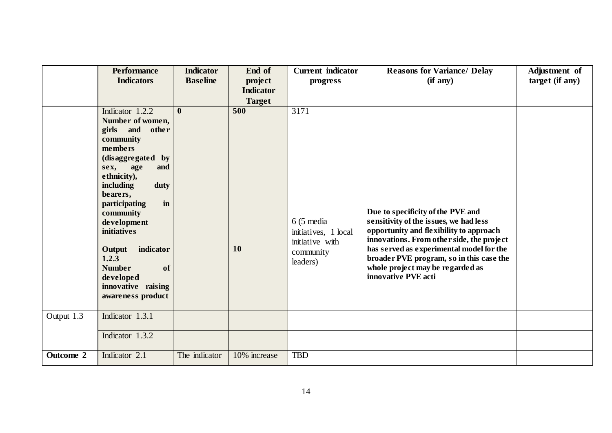|            | <b>Performance</b>                  | <b>Indicator</b> | End of           | <b>Current</b> indicator | <b>Reasons for Variance/ Delay</b>                                                   | Adjustment of   |
|------------|-------------------------------------|------------------|------------------|--------------------------|--------------------------------------------------------------------------------------|-----------------|
|            | <b>Indicators</b>                   | <b>Baseline</b>  | project          | progress                 | (if any)                                                                             | target (if any) |
|            |                                     |                  | <b>Indicator</b> |                          |                                                                                      |                 |
|            |                                     |                  | <b>Target</b>    |                          |                                                                                      |                 |
|            | Indicator 1.2.2                     | $\mathbf{0}$     | 500              | 3171                     |                                                                                      |                 |
|            | Number of women,<br>girls and other |                  |                  |                          |                                                                                      |                 |
|            | community                           |                  |                  |                          |                                                                                      |                 |
|            | members                             |                  |                  |                          |                                                                                      |                 |
|            | (disaggregated by                   |                  |                  |                          |                                                                                      |                 |
|            | sex, age<br>and                     |                  |                  |                          |                                                                                      |                 |
|            | ethnicity),                         |                  |                  |                          |                                                                                      |                 |
|            | including<br>duty                   |                  |                  |                          |                                                                                      |                 |
|            | bearers,<br>in<br>participating     |                  |                  |                          |                                                                                      |                 |
|            | community                           |                  |                  |                          | Due to specificity of the PVE and                                                    |                 |
|            | development                         |                  |                  | $6(5 \text{ media})$     | sensitivity of the issues, we had less                                               |                 |
|            | initiatives                         |                  |                  | initiatives, 1 local     | opportunity and flexibility to approach                                              |                 |
|            |                                     |                  |                  | initiative with          | innovations. From other side, the project                                            |                 |
|            | Output<br>indicator<br>1.2.3        |                  | 10               | community                | has served as experimental model for the<br>broader PVE program, so in this case the |                 |
|            | <b>Number</b><br>of                 |                  |                  | leaders)                 | whole project may be regarded as                                                     |                 |
|            | developed                           |                  |                  |                          | innovative PVE acti                                                                  |                 |
|            | innovative raising                  |                  |                  |                          |                                                                                      |                 |
|            | awareness product                   |                  |                  |                          |                                                                                      |                 |
|            |                                     |                  |                  |                          |                                                                                      |                 |
| Output 1.3 | Indicator 1.3.1                     |                  |                  |                          |                                                                                      |                 |
|            | Indicator 1.3.2                     |                  |                  |                          |                                                                                      |                 |
|            |                                     |                  |                  |                          |                                                                                      |                 |
| Outcome 2  | Indicator 2.1                       | The indicator    | 10% increase     | <b>TBD</b>               |                                                                                      |                 |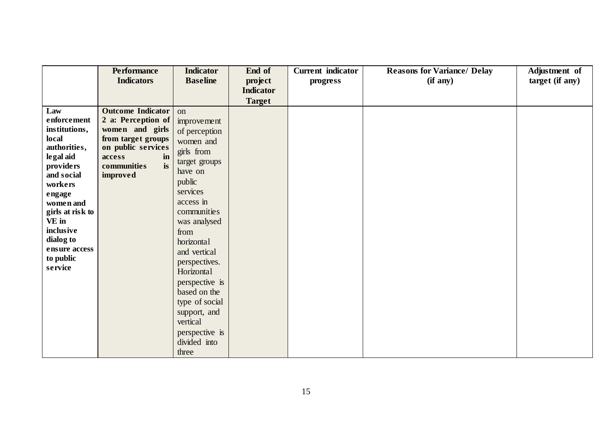|                     | <b>Performance</b>       | <b>Indicator</b>                        | End of           | <b>Current</b> indicator | <b>Reasons for Variance/ Delay</b> | Adjustment of   |
|---------------------|--------------------------|-----------------------------------------|------------------|--------------------------|------------------------------------|-----------------|
|                     | <b>Indicators</b>        | <b>Baseline</b>                         | project          | progress                 | (if any)                           | target (if any) |
|                     |                          |                                         | <b>Indicator</b> |                          |                                    |                 |
|                     |                          |                                         | <b>Target</b>    |                          |                                    |                 |
| Law                 | <b>Outcome Indicator</b> | <sub>on</sub>                           |                  |                          |                                    |                 |
| enforcement         | 2 a: Perception of       | improvement                             |                  |                          |                                    |                 |
| institutions,       | women and girls          | of perception                           |                  |                          |                                    |                 |
| local               | from target groups       | women and                               |                  |                          |                                    |                 |
| authorities,        | on public services       | girls from                              |                  |                          |                                    |                 |
| legal aid           | access<br>in             | target groups                           |                  |                          |                                    |                 |
| <i>providers</i>    | is<br>communities        | have on                                 |                  |                          |                                    |                 |
| and social          | improved                 | public                                  |                  |                          |                                    |                 |
| workers             |                          | services                                |                  |                          |                                    |                 |
| engage<br>women and |                          | access in                               |                  |                          |                                    |                 |
| girls at risk to    |                          | communities                             |                  |                          |                                    |                 |
| VE in               |                          | was analysed                            |                  |                          |                                    |                 |
| inclusive           |                          | from                                    |                  |                          |                                    |                 |
| dialog to           |                          | horizontal                              |                  |                          |                                    |                 |
| ensure access       |                          | and vertical                            |                  |                          |                                    |                 |
| to public           |                          | perspectives.                           |                  |                          |                                    |                 |
| service             |                          | Horizontal                              |                  |                          |                                    |                 |
|                     |                          | perspective is                          |                  |                          |                                    |                 |
|                     |                          | based on the                            |                  |                          |                                    |                 |
|                     |                          | type of social                          |                  |                          |                                    |                 |
|                     |                          | support, and                            |                  |                          |                                    |                 |
|                     |                          | vertical                                |                  |                          |                                    |                 |
|                     |                          |                                         |                  |                          |                                    |                 |
|                     |                          |                                         |                  |                          |                                    |                 |
|                     |                          |                                         |                  |                          |                                    |                 |
|                     |                          | perspective is<br>divided into<br>three |                  |                          |                                    |                 |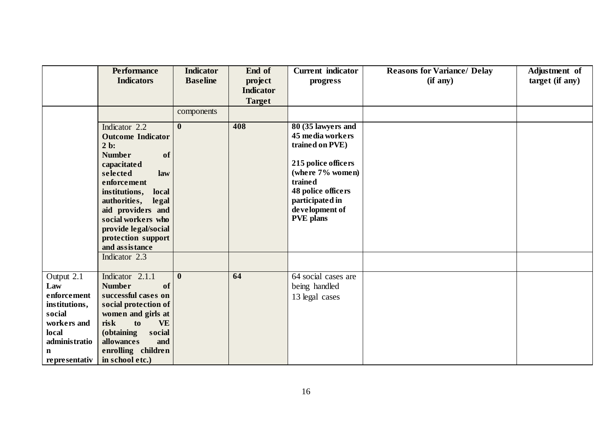|                                                                                                                                      | <b>Performance</b><br><b>Indicators</b>                                                                                                                                                                                                                                 | <b>Indicator</b><br><b>Baseline</b> | End of<br>project<br><b>Indicator</b><br><b>Target</b> | <b>Current</b> indicator<br>progress                                                                                                                                                           | <b>Reasons for Variance/ Delay</b><br>(if any) | Adjustment of<br>target (if any) |
|--------------------------------------------------------------------------------------------------------------------------------------|-------------------------------------------------------------------------------------------------------------------------------------------------------------------------------------------------------------------------------------------------------------------------|-------------------------------------|--------------------------------------------------------|------------------------------------------------------------------------------------------------------------------------------------------------------------------------------------------------|------------------------------------------------|----------------------------------|
|                                                                                                                                      | Indicator 2.2<br><b>Outcome Indicator</b><br>$2b$ :<br><b>Number</b><br>of<br>capacitated<br>selected<br>law<br>enforcement<br>institutions,<br>local<br>authorities,<br>legal<br>aid providers and<br>social workers who<br>provide legal/social<br>protection support | components<br>$\boldsymbol{0}$      | 408                                                    | 80 (35 lawyers and<br>45 media workers<br>trained on PVE)<br>215 police officers<br>(where 7% women)<br>trained<br>48 police officers<br>participated in<br>development of<br><b>PVE</b> plans |                                                |                                  |
|                                                                                                                                      | and assistance<br>Indicator 2.3                                                                                                                                                                                                                                         |                                     |                                                        |                                                                                                                                                                                                |                                                |                                  |
| Output 2.1<br>Law<br>enforcement<br>institutions,<br>social<br>workers and<br>local<br>administratio<br>$\mathbf n$<br>representativ | Indicator 2.1.1<br><b>Number</b><br>of<br>successful cases on<br>social protection of<br>women and girls at<br>risk<br>to<br><b>VE</b><br>(obtaining<br>social<br>allowances<br>and<br>enrolling children<br>in school etc.)                                            | $\bf{0}$                            | 64                                                     | 64 social cases are<br>being handled<br>13 legal cases                                                                                                                                         |                                                |                                  |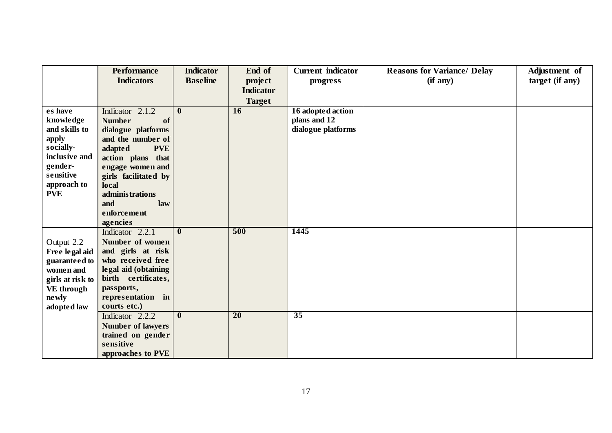|                  | <b>Performance</b>       | <b>Indicator</b>        | End of           | <b>Current</b> indicator | <b>Reasons for Variance/ Delay</b> | Adjustment of   |
|------------------|--------------------------|-------------------------|------------------|--------------------------|------------------------------------|-----------------|
|                  | <b>Indicators</b>        | <b>Baseline</b>         | project          | progress                 | (if any)                           | target (if any) |
|                  |                          |                         | <b>Indicator</b> |                          |                                    |                 |
|                  |                          |                         | <b>Target</b>    |                          |                                    |                 |
| es have          | Indicator 2.1.2          | $\mathbf{0}$            | 16               | 16 adopted action        |                                    |                 |
| knowledge        | <b>Number</b><br>of      |                         |                  | plans and 12             |                                    |                 |
| and skills to    | dialogue platforms       |                         |                  | dialogue platforms       |                                    |                 |
| apply            | and the number of        |                         |                  |                          |                                    |                 |
| socially-        | adapted<br><b>PVE</b>    |                         |                  |                          |                                    |                 |
| inclusive and    | action plans that        |                         |                  |                          |                                    |                 |
| gender-          | engage women and         |                         |                  |                          |                                    |                 |
| sensitive        | girls facilitated by     |                         |                  |                          |                                    |                 |
| approach to      | local                    |                         |                  |                          |                                    |                 |
| <b>PVE</b>       | administrations          |                         |                  |                          |                                    |                 |
|                  | and<br>law               |                         |                  |                          |                                    |                 |
|                  | enforcement              |                         |                  |                          |                                    |                 |
|                  | agencies                 |                         |                  |                          |                                    |                 |
|                  | Indicator 2.2.1          | $\mathbf{0}$            | 500              | 1445                     |                                    |                 |
| Output 2.2       | Number of women          |                         |                  |                          |                                    |                 |
| Free legal aid   | and girls at risk        |                         |                  |                          |                                    |                 |
| guaranteed to    | who received free        |                         |                  |                          |                                    |                 |
| women and        | legal aid (obtaining     |                         |                  |                          |                                    |                 |
| girls at risk to | birth certificates,      |                         |                  |                          |                                    |                 |
| VE through       | passports,               |                         |                  |                          |                                    |                 |
| ne wly           | representation in        |                         |                  |                          |                                    |                 |
| adopted law      | courts etc.)             |                         |                  |                          |                                    |                 |
|                  | Indicator 2.2.2          | $\overline{\mathbf{0}}$ | $\overline{20}$  | $\overline{35}$          |                                    |                 |
|                  | <b>Number of lawyers</b> |                         |                  |                          |                                    |                 |
|                  | trained on gender        |                         |                  |                          |                                    |                 |
|                  | sensitive                |                         |                  |                          |                                    |                 |
|                  | approaches to PVE        |                         |                  |                          |                                    |                 |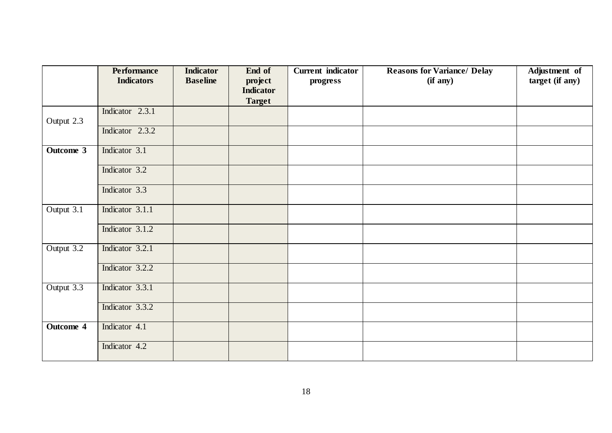|            | <b>Performance</b><br><b>Indicators</b> | <b>Indicator</b><br><b>Baseline</b> | End of<br>project | <b>Current</b> indicator<br>progress | <b>Reasons for Variance/ Delay</b><br>(if any) | Adjustment of<br>target (if any) |
|------------|-----------------------------------------|-------------------------------------|-------------------|--------------------------------------|------------------------------------------------|----------------------------------|
|            |                                         |                                     | <b>Indicator</b>  |                                      |                                                |                                  |
|            |                                         |                                     | <b>Target</b>     |                                      |                                                |                                  |
| Output 2.3 | Indicator 2.3.1                         |                                     |                   |                                      |                                                |                                  |
|            | Indicator 2.3.2                         |                                     |                   |                                      |                                                |                                  |
| Outcome 3  | Indicator 3.1                           |                                     |                   |                                      |                                                |                                  |
|            | Indicator 3.2                           |                                     |                   |                                      |                                                |                                  |
|            | Indicator 3.3                           |                                     |                   |                                      |                                                |                                  |
| Output 3.1 | Indicator 3.1.1                         |                                     |                   |                                      |                                                |                                  |
|            | Indicator 3.1.2                         |                                     |                   |                                      |                                                |                                  |
| Output 3.2 | Indicator 3.2.1                         |                                     |                   |                                      |                                                |                                  |
|            | Indicator 3.2.2                         |                                     |                   |                                      |                                                |                                  |
| Output 3.3 | Indicator 3.3.1                         |                                     |                   |                                      |                                                |                                  |
|            | Indicator 3.3.2                         |                                     |                   |                                      |                                                |                                  |
| Outcome 4  | Indicator 4.1                           |                                     |                   |                                      |                                                |                                  |
|            | Indicator 4.2                           |                                     |                   |                                      |                                                |                                  |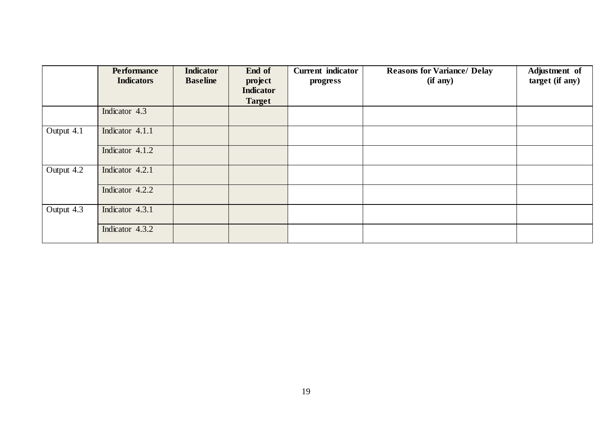|            | <b>Performance</b><br><b>Indicators</b> | <b>Indicator</b><br><b>Baseline</b> | End of<br>project<br><b>Indicator</b> | <b>Current</b> indicator<br>progress | <b>Reasons for Variance/ Delay</b><br>(if any) | Adjustment of<br>target (if any) |
|------------|-----------------------------------------|-------------------------------------|---------------------------------------|--------------------------------------|------------------------------------------------|----------------------------------|
|            |                                         |                                     | <b>Target</b>                         |                                      |                                                |                                  |
|            | Indicator 4.3                           |                                     |                                       |                                      |                                                |                                  |
| Output 4.1 | Indicator 4.1.1                         |                                     |                                       |                                      |                                                |                                  |
|            | Indicator 4.1.2                         |                                     |                                       |                                      |                                                |                                  |
| Output 4.2 | Indicator 4.2.1                         |                                     |                                       |                                      |                                                |                                  |
|            | Indicator 4.2.2                         |                                     |                                       |                                      |                                                |                                  |
| Output 4.3 | Indicator 4.3.1                         |                                     |                                       |                                      |                                                |                                  |
|            | Indicator 4.3.2                         |                                     |                                       |                                      |                                                |                                  |